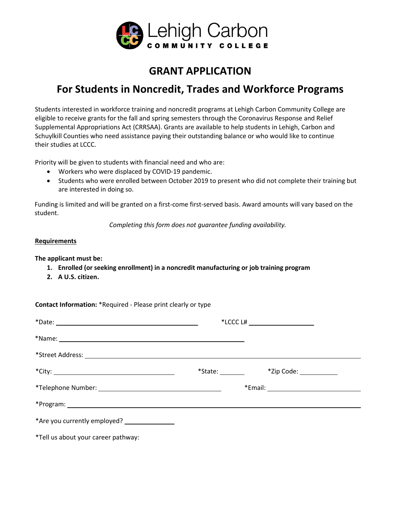

## **GRANT APPLICATION**

## **For Students in Noncredit, Trades and Workforce Programs**

Students interested in workforce training and noncredit programs at Lehigh Carbon Community College are eligible to receive grants for the fall and spring semesters through the Coronavirus Response and Relief Supplemental Appropriations Act (CRRSAA). Grants are available to help students in Lehigh, Carbon and Schuylkill Counties who need assistance paying their outstanding balance or who would like to continue their studies at LCCC.

Priority will be given to students with financial need and who are:

- Workers who were displaced by COVID-19 pandemic.
- Students who were enrolled between October 2019 to present who did not complete their training but are interested in doing so.

Funding is limited and will be granted on a first-come first-served basis. Award amounts will vary based on the student.

*Completing this form does not guarantee funding availability.* 

## **Requirements**

**The applicant must be:** 

- **1. Enrolled (or seeking enrollment) in a noncredit manufacturing or job training program**
- **2. A U.S. citizen.**

**Contact Information:** \*Required - Please print clearly or type \*Date: \*LCCC L# \*Name: \*Street Address: \*City: \*State: \*Zip Code: \*Telephone Number: \*Email: \*Program: \*Are you currently employed? \*Tell us about your career pathway: